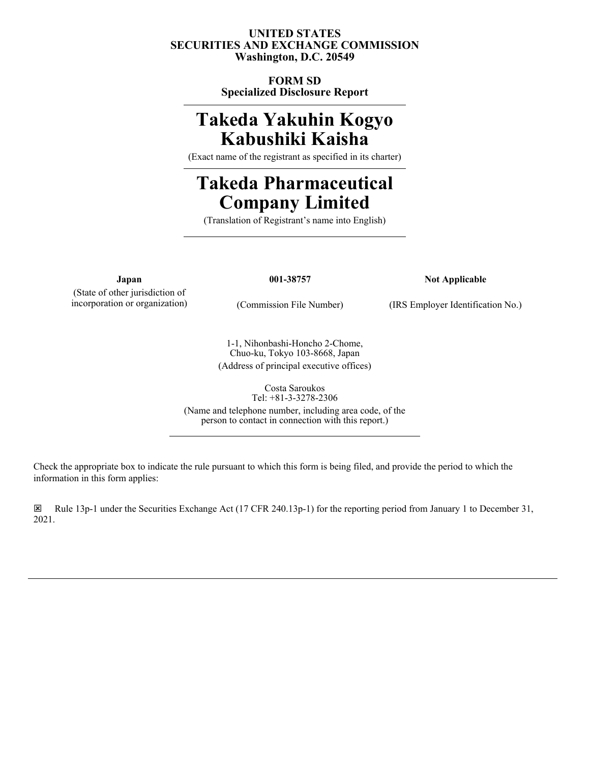# **UNITED STATES SECURITIES AND EXCHANGE COMMISSION Washington, D.C. 20549**

**FORM SD Specialized Disclosure Report**

# **Takeda Yakuhin Kogyo Kabushiki Kaisha**

(Exact name of the registrant as specified in its charter)

# **Takeda Pharmaceutical Company Limited**

(Translation of Registrant's name into English)

(State of other jurisdiction of

**Japan 001-38757 Not Applicable**

incorporation or organization) (Commission File Number) (IRS Employer Identification No.)

1-1, Nihonbashi-Honcho 2-Chome, Chuo-ku, Tokyo 103-8668, Japan (Address of principal executive offices)

> Costa Saroukos Tel: +81-3-3278-2306

(Name and telephone number, including area code, of the person to contact in connection with this report.)

Check the appropriate box to indicate the rule pursuant to which this form is being filed, and provide the period to which the information in this form applies:

ý Rule 13p-1 under the Securities Exchange Act (17 CFR 240.13p-1) for the reporting period from January 1 to December 31, 2021.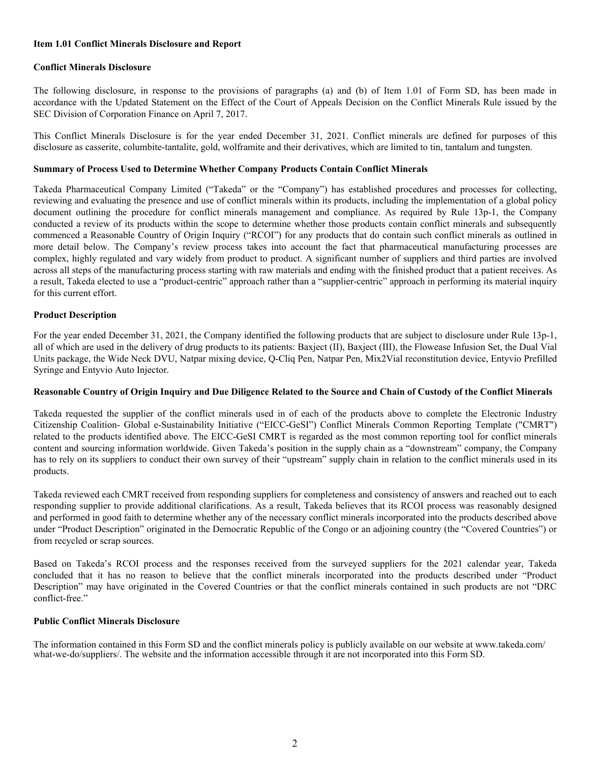#### **Item 1.01 Conflict Minerals Disclosure and Report**

#### **Conflict Minerals Disclosure**

The following disclosure, in response to the provisions of paragraphs (a) and (b) of Item 1.01 of Form SD, has been made in accordance with the Updated Statement on the Effect of the Court of Appeals Decision on the Conflict Minerals Rule issued by the SEC Division of Corporation Finance on April 7, 2017.

This Conflict Minerals Disclosure is for the year ended December 31, 2021. Conflict minerals are defined for purposes of this disclosure as casserite, columbite-tantalite, gold, wolframite and their derivatives, which are limited to tin, tantalum and tungsten.

#### **Summary of Process Used to Determine Whether Company Products Contain Conflict Minerals**

Takeda Pharmaceutical Company Limited ("Takeda" or the "Company") has established procedures and processes for collecting, reviewing and evaluating the presence and use of conflict minerals within its products, including the implementation of a global policy document outlining the procedure for conflict minerals management and compliance. As required by Rule 13p-1, the Company conducted a review of its products within the scope to determine whether those products contain conflict minerals and subsequently commenced a Reasonable Country of Origin Inquiry ("RCOI") for any products that do contain such conflict minerals as outlined in more detail below. The Company's review process takes into account the fact that pharmaceutical manufacturing processes are complex, highly regulated and vary widely from product to product. A significant number of suppliers and third parties are involved across all steps of the manufacturing process starting with raw materials and ending with the finished product that a patient receives. As a result, Takeda elected to use a "product-centric" approach rather than a "supplier-centric" approach in performing its material inquiry for this current effort.

#### **Product Description**

For the year ended December 31, 2021, the Company identified the following products that are subject to disclosure under Rule 13p-1, all of which are used in the delivery of drug products to its patients: Baxject (II), Baxject (III), the Flowease Infusion Set, the Dual Vial Units package, the Wide Neck DVU, Natpar mixing device, Q-Cliq Pen, Natpar Pen, Mix2Vial reconstitution device, Entyvio Prefilled Syringe and Entyvio Auto Injector.

#### **Reasonable Country of Origin Inquiry and Due Diligence Related to the Source and Chain of Custody of the Conflict Minerals**

Takeda requested the supplier of the conflict minerals used in of each of the products above to complete the Electronic Industry Citizenship Coalition- Global e-Sustainability Initiative ("EICC-GeSI") Conflict Minerals Common Reporting Template ("CMRT") related to the products identified above. The EICC-GeSI CMRT is regarded as the most common reporting tool for conflict minerals content and sourcing information worldwide. Given Takeda's position in the supply chain as a "downstream" company, the Company has to rely on its suppliers to conduct their own survey of their "upstream" supply chain in relation to the conflict minerals used in its products.

Takeda reviewed each CMRT received from responding suppliers for completeness and consistency of answers and reached out to each responding supplier to provide additional clarifications. As a result, Takeda believes that its RCOI process was reasonably designed and performed in good faith to determine whether any of the necessary conflict minerals incorporated into the products described above under "Product Description" originated in the Democratic Republic of the Congo or an adjoining country (the "Covered Countries") or from recycled or scrap sources.

Based on Takeda's RCOI process and the responses received from the surveyed suppliers for the 2021 calendar year, Takeda concluded that it has no reason to believe that the conflict minerals incorporated into the products described under "Product Description" may have originated in the Covered Countries or that the conflict minerals contained in such products are not "DRC conflict-free."

#### **Public Conflict Minerals Disclosure**

The information contained in this Form SD and the conflict minerals policy is publicly available on our website at www.takeda.com/ what-we-do/suppliers/. The website and the information accessible through it are not incorporated into this Form SD.